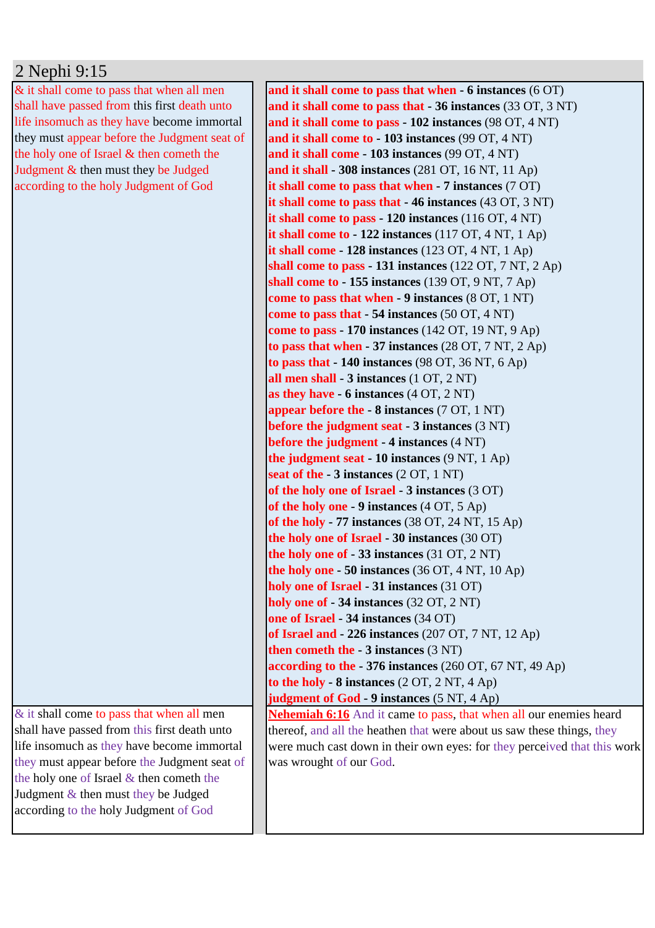## 2 Nephi 9:15

& it shall come to pass that when all men shall have passed from this first death unto life insomuch as they have become immortal they must appear before the Judgment seat of the holy one of Israel & then cometh the Judgment & then must they be Judged according to the holy Judgment of God

 $&$  it shall come to pass that when all men shall have passed from this first death unto life insomuch as they have become immortal they must appear before the Judgment seat of the holy one of Israel & then cometh the Judgment & then must they be Judged according to the holy Judgment of God

**and it shall come to pass that when - 6 instances** (6 OT) **and it shall come to pass that - 36 instances** (33 OT, 3 NT) **and it shall come to pass - 102 instances** (98 OT, 4 NT) **and it shall come to - 103 instances** (99 OT, 4 NT) **and it shall come - 103 instances** (99 OT, 4 NT) **and it shall - 308 instances** (281 OT, 16 NT, 11 Ap) **it shall come to pass that when - 7 instances** (7 OT) **it shall come to pass that - 46 instances** (43 OT, 3 NT) **it shall come to pass - 120 instances** (116 OT, 4 NT) **it shall come to - 122 instances** (117 OT, 4 NT, 1 Ap) **it shall come - 128 instances** (123 OT, 4 NT, 1 Ap) **shall come to pass - 131 instances** (122 OT, 7 NT, 2 Ap) **shall come to - 155 instances** (139 OT, 9 NT, 7 Ap) **come to pass that when - 9 instances** (8 OT, 1 NT) **come to pass that - 54 instances** (50 OT, 4 NT) **come to pass - 170 instances** (142 OT, 19 NT, 9 Ap) **to pass that when - 37 instances** (28 OT, 7 NT, 2 Ap) **to pass that - 140 instances** (98 OT, 36 NT, 6 Ap) **all men shall - 3 instances** (1 OT, 2 NT) **as they have - 6 instances** (4 OT, 2 NT) **appear before the - 8 instances** (7 OT, 1 NT) **before the judgment seat - 3 instances** (3 NT) **before the judgment - 4 instances** (4 NT) **the judgment seat - 10 instances** (9 NT, 1 Ap) **seat of the - 3 instances** (2 OT, 1 NT) **of the holy one of Israel - 3 instances** (3 OT) **of the holy one - 9 instances** (4 OT, 5 Ap) **of the holy - 77 instances** (38 OT, 24 NT, 15 Ap) **the holy one of Israel - 30 instances** (30 OT) **the holy one of - 33 instances** (31 OT, 2 NT) **the holy one - 50 instances** (36 OT, 4 NT, 10 Ap) **holy one of Israel - 31 instances** (31 OT) **holy one of - 34 instances** (32 OT, 2 NT) **one of Israel - 34 instances** (34 OT) **of Israel and - 226 instances** (207 OT, 7 NT, 12 Ap) **then cometh the - 3 instances** (3 NT) **according to the - 376 instances** (260 OT, 67 NT, 49 Ap) **to the holy - 8 instances** (2 OT, 2 NT, 4 Ap) **judgment of God - 9 instances** (5 NT, 4 Ap) **Nehemiah 6:16** And it came to pass, that when all our enemies heard thereof, and all the heathen that were about us saw these things, they were much cast down in their own eyes: for they perceived that this work was wrought of our God.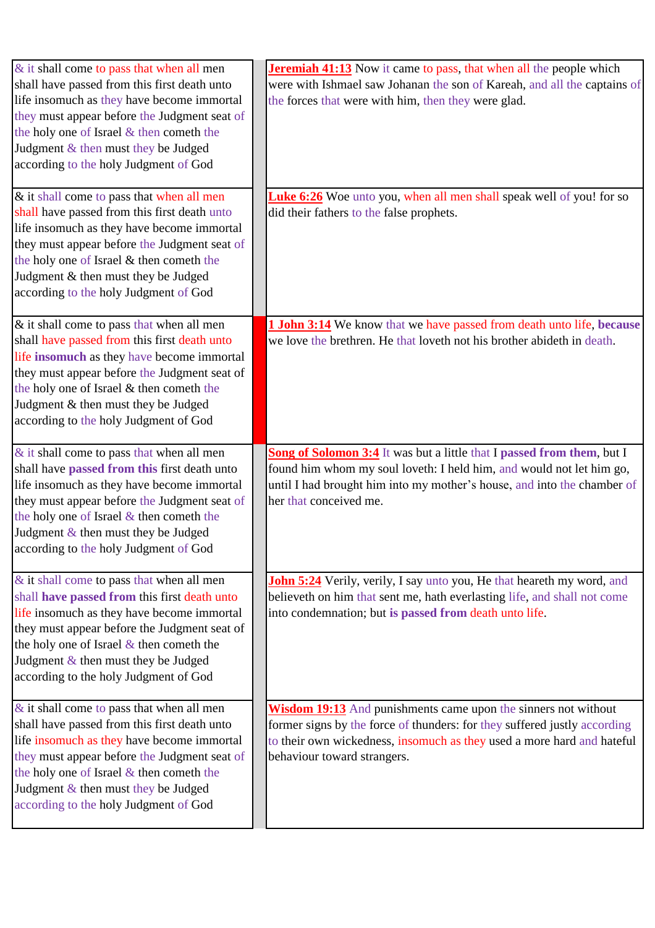| $&$ it shall come to pass that when all men                                  | <b>Jeremiah 41:13</b> Now it came to pass, that when all the people which     |
|------------------------------------------------------------------------------|-------------------------------------------------------------------------------|
| shall have passed from this first death unto                                 | were with Ishmael saw Johanan the son of Kareah, and all the captains of      |
| life insomuch as they have become immortal                                   | the forces that were with him, then they were glad.                           |
| they must appear before the Judgment seat of                                 |                                                                               |
| the holy one of Israel & then cometh the                                     |                                                                               |
| Judgment & then must they be Judged                                          |                                                                               |
| according to the holy Judgment of God                                        |                                                                               |
|                                                                              |                                                                               |
| & it shall come to pass that when all men                                    | <b>Luke 6:26</b> Woe unto you, when all men shall speak well of you! for so   |
| shall have passed from this first death unto                                 | did their fathers to the false prophets.                                      |
| life insomuch as they have become immortal                                   |                                                                               |
| they must appear before the Judgment seat of                                 |                                                                               |
| the holy one of Israel & then cometh the                                     |                                                                               |
| Judgment & then must they be Judged                                          |                                                                               |
| according to the holy Judgment of God                                        |                                                                               |
|                                                                              |                                                                               |
| & it shall come to pass that when all men                                    | <b>1 John 3:14</b> We know that we have passed from death unto life, because  |
| shall have passed from this first death unto                                 | we love the brethren. He that loveth not his brother abideth in death.        |
| life insomuch as they have become immortal                                   |                                                                               |
| they must appear before the Judgment seat of                                 |                                                                               |
| the holy one of Israel & then cometh the                                     |                                                                               |
| Judgment & then must they be Judged                                          |                                                                               |
| according to the holy Judgment of God                                        |                                                                               |
|                                                                              |                                                                               |
|                                                                              |                                                                               |
| $&$ it shall come to pass that when all men                                  | Song of Solomon 3:4 It was but a little that I passed from them, but I        |
| shall have passed from this first death unto                                 | found him whom my soul loveth: I held him, and would not let him go,          |
| life insomuch as they have become immortal                                   | until I had brought him into my mother's house, and into the chamber of       |
| they must appear before the Judgment seat of                                 | her that conceived me.                                                        |
| the holy one of Israel & then cometh the                                     |                                                                               |
| Judgment & then must they be Judged                                          |                                                                               |
| according to the holy Judgment of God                                        |                                                                               |
|                                                                              |                                                                               |
| & it shall come to pass that when all men                                    | <b>John 5:24</b> Verily, verily, I say unto you, He that heareth my word, and |
| shall have passed from this first death unto                                 | believeth on him that sent me, hath everlasting life, and shall not come      |
| life insomuch as they have become immortal                                   | into condemnation; but is passed from death unto life.                        |
| they must appear before the Judgment seat of                                 |                                                                               |
| the holy one of Israel $&$ then cometh the                                   |                                                                               |
| Judgment & then must they be Judged<br>according to the holy Judgment of God |                                                                               |
|                                                                              |                                                                               |
| $\&$ it shall come to pass that when all men                                 | <b>Wisdom 19:13</b> And punishments came upon the sinners not without         |
| shall have passed from this first death unto                                 | former signs by the force of thunders: for they suffered justly according     |
| life insomuch as they have become immortal                                   | to their own wickedness, insomuch as they used a more hard and hateful        |
| they must appear before the Judgment seat of                                 | behaviour toward strangers.                                                   |
| the holy one of Israel & then cometh the                                     |                                                                               |
| Judgment $&$ then must they be Judged                                        |                                                                               |
| according to the holy Judgment of God                                        |                                                                               |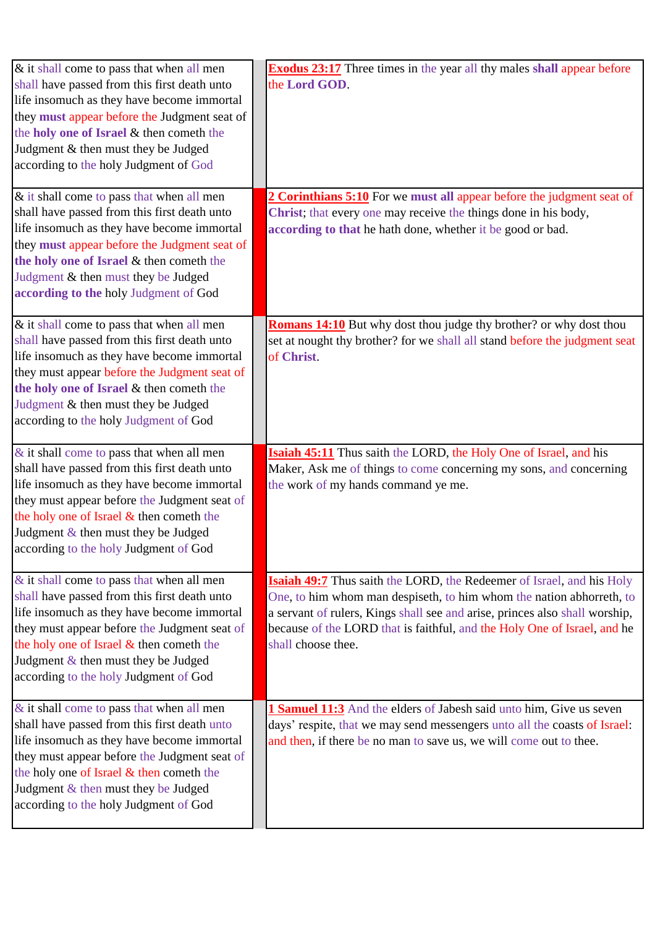| & it shall come to pass that when all men<br>shall have passed from this first death unto<br>life insomuch as they have become immortal<br>they must appear before the Judgment seat of<br>the holy one of Israel & then cometh the<br>Judgment & then must they be Judged<br>according to the holy Judgment of God<br>& it shall come to pass that when all men | <b>Exodus 23:17</b> Three times in the year all thy males shall appear before<br>the Lord GOD.<br>2 Corinthians 5:10 For we must all appear before the judgment seat of                                                                                                                                                               |
|------------------------------------------------------------------------------------------------------------------------------------------------------------------------------------------------------------------------------------------------------------------------------------------------------------------------------------------------------------------|---------------------------------------------------------------------------------------------------------------------------------------------------------------------------------------------------------------------------------------------------------------------------------------------------------------------------------------|
| shall have passed from this first death unto<br>life insomuch as they have become immortal<br>they must appear before the Judgment seat of<br>the holy one of Israel & then cometh the<br>Judgment & then must they be Judged<br>according to the holy Judgment of God                                                                                           | Christ; that every one may receive the things done in his body,<br>according to that he hath done, whether it be good or bad.                                                                                                                                                                                                         |
| & it shall come to pass that when all men<br>shall have passed from this first death unto<br>life insomuch as they have become immortal<br>they must appear before the Judgment seat of<br>the holy one of Israel & then cometh the<br>Judgment & then must they be Judged<br>according to the holy Judgment of God                                              | <b>Romans 14:10</b> But why dost thou judge thy brother? or why dost thou<br>set at nought thy brother? for we shall all stand before the judgment seat<br>of Christ.                                                                                                                                                                 |
| & it shall come to pass that when all men<br>shall have passed from this first death unto<br>life insomuch as they have become immortal<br>they must appear before the Judgment seat of<br>the holy one of Israel & then cometh the<br>Judgment & then must they be Judged<br>according to the holy Judgment of God                                              | <b>Isaiah 45:11</b> Thus saith the LORD, the Holy One of Israel, and his<br>Maker, Ask me of things to come concerning my sons, and concerning<br>the work of my hands command ye me.                                                                                                                                                 |
| & it shall come to pass that when all men<br>shall have passed from this first death unto<br>life insomuch as they have become immortal<br>they must appear before the Judgment seat of<br>the holy one of Israel & then cometh the<br>Judgment & then must they be Judged<br>according to the holy Judgment of God                                              | <b>Isaiah 49:7</b> Thus saith the LORD, the Redeemer of Israel, and his Holy<br>One, to him whom man despiseth, to him whom the nation abhorreth, to<br>a servant of rulers, Kings shall see and arise, princes also shall worship,<br>because of the LORD that is faithful, and the Holy One of Israel, and he<br>shall choose thee. |
| $\&$ it shall come to pass that when all men<br>shall have passed from this first death unto<br>life insomuch as they have become immortal<br>they must appear before the Judgment seat of<br>the holy one of Israel & then cometh the<br>Judgment & then must they be Judged<br>according to the holy Judgment of God                                           | 1 Samuel 11:3 And the elders of Jabesh said unto him, Give us seven<br>days' respite, that we may send messengers unto all the coasts of Israel:<br>and then, if there be no man to save us, we will come out to thee.                                                                                                                |